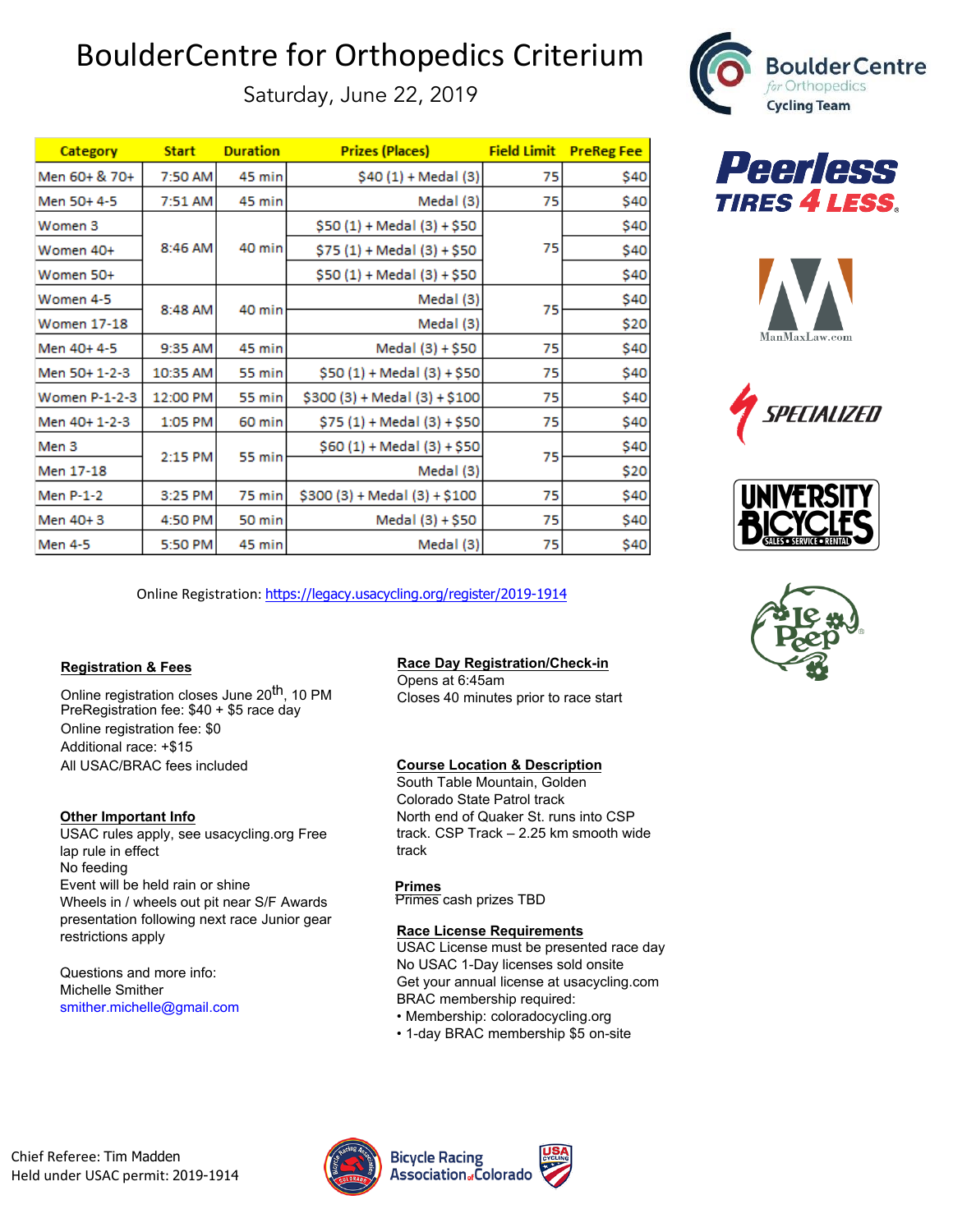# BoulderCentre for Orthopedics Criterium

Saturday, June 22, 2019

| <b>Category</b> | <b>Start</b> | <b>Duration</b> | <b>Prizes (Places)</b>        | <b>Field Limit</b> | <b>PreReg Fee</b> |
|-----------------|--------------|-----------------|-------------------------------|--------------------|-------------------|
| Men 60+ & 70+   | 7:50 AM      | 45 min          | \$40 (1) + Medal (3)          | 75                 | \$40              |
| Men 50+4-5      | 7:51 AM      | 45 minl         | Medal (3)                     | 75                 | \$40              |
| Women 3         | 8:46 AM      | 40 min          | $$50(1) + Medal (3) + $50$    | 75                 | \$40              |
| Women 40+       |              |                 | \$75 (1) + Medal (3) + \$50   |                    | \$40              |
| Women 50+       |              |                 | \$50 (1) + Medal (3) + \$50   |                    | \$40              |
| Women 4-5       | 8:48 AM      | 40 min          | Medal (3)                     | 75                 | \$40              |
| Women 17-18     |              |                 | Medal (3)                     |                    | \$20              |
| Men 40+ 4-5     | 9:35 AM      | 45 min          | Medal (3) + \$50              | 75                 | \$40              |
| Men 50+ 1-2-3   | 10:35 AM     | 55 min          | \$50 (1) + Medal (3) + \$50   | 75                 | \$40              |
| Women P-1-2-3   | 12:00 PM     | 55 min          | $$300 (3) + Medal (3) + $100$ | 75                 | \$40              |
| Men 40+ 1-2-3   | 1:05 PM      | 60 min          | $$75(1) + Medal (3) + $50]$   | 75                 | \$40              |
| Men 3           | 2:15 PM      | 55 min          | \$60 (1) + Medal (3) + \$50   | 75                 | \$40              |
| Men 17-18       |              |                 | Medal (3)                     |                    | \$20              |
| Men P-1-2       | 3:25 PM      | 75 min          | $$300 (3) + Medal (3) + $100$ | 75                 | \$40              |
| Men 40+3        | 4:50 PM      | 50 min          | Medal (3) + \$50              | 75                 | \$40              |
| Men 4-5         | 5:50 PM      | 45 minl         | Medal (3)                     | 75                 | \$40              |











Online Registration: [https://legacy.usacycling.org/register/2019-1914](https://legacy.usacycling.org/register/2018-1797)

### **Registration & Fees**

Online registration closes June 20<sup>th</sup>, 10 PM PreRegistration fee: \$40 + \$5 race day Online registration fee: \$0 Additional race: +\$15 All USAC/BRAC fees included

### **Other Important Info**

USAC rules apply, see usacycling.org Free lap rule in effect No feeding Event will be held rain or shine Wheels in / wheels out pit near S/F Awards presentation following next race Junior gear restrictions apply

Questions and more info: Michelle Smither smither.michelle@gmail.com

# **Race Day Registration/Check-in**

Opens at 6:45am Closes 40 minutes prior to race start

# **Course Location & Description**

South Table Mountain, Golden Colorado State Patrol track North end of Quaker St. runs into CSP track. CSP Track – 2.25 km smooth wide track

**Primes** Primes cash prizes TBD

### **Race License Requirements**

USAC License must be presented race day No USAC 1-Day licenses sold onsite Get your annual license at usacycling.com BRAC membership required:

- Membership: coloradocycling.org
- 1-day BRAC membership \$5 on-site